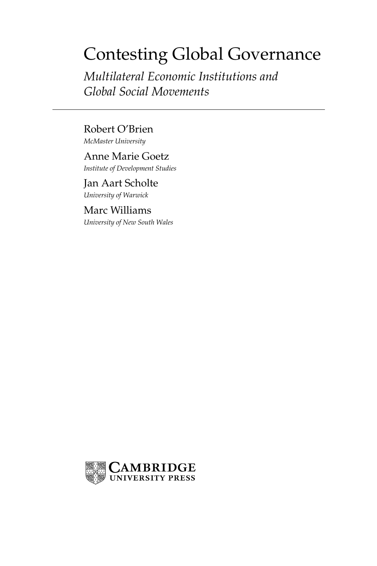# Contesting Global Governance

Multilateral Economic Institutions and Global Social Movements

## Robert O'Brien

McMaster University

Anne Marie Goetz Institute of Development Studies

Jan Aart Scholte University of Warwick

Marc Williams University of New South Wales

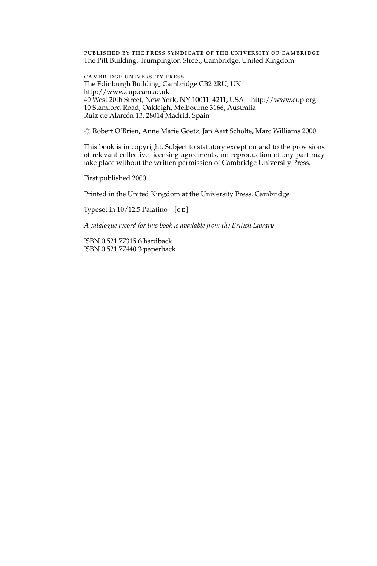published by the press syndicate of the university of cambridge The Pitt Building, Trumpington Street, Cambridge, United Kingdom

cambridge university press The Edinburgh Building, Cambridge CB2 2RU, UK http://www.cup.cam.ac.uk 40 West 20th Street, New York, NY 10011±4211, USA http://www.cup.org 10 Stamford Road, Oakleigh, Melbourne 3166, Australia Ruiz de Alarcón 13, 28014 Madrid, Spain

# Robert O'Brien, Anne Marie Goetz, Jan Aart Scholte, Marc Williams 2000

This book is in copyright. Subject to statutory exception and to the provisions of relevant collective licensing agreements, no reproduction of any part may take place without the written permission of Cambridge University Press.

First published 2000

Printed in the United Kingdom at the University Press, Cambridge

Typeset in  $10/12.5$  Palatino  $[cE]$ 

A catalogue record for this book is available from the British Library

ISBN 0 521 77315 6 hardback ISBN 0 521 77440 3 paperback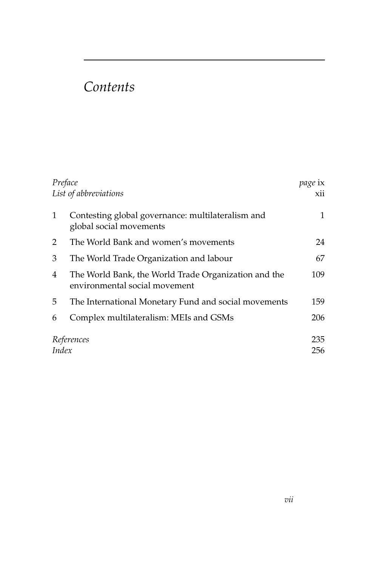## **Contents**

| Preface<br>List of abbreviations |                                                                                       | page ix    |
|----------------------------------|---------------------------------------------------------------------------------------|------------|
|                                  |                                                                                       | xii        |
| 1                                | Contesting global governance: multilateralism and<br>global social movements          | 1          |
| $\overline{2}$                   | The World Bank and women's movements                                                  | 24         |
| 3                                | The World Trade Organization and labour                                               | 67         |
| 4                                | The World Bank, the World Trade Organization and the<br>environmental social movement | 109        |
| 5                                | The International Monetary Fund and social movements                                  | 159        |
| 6                                | Complex multilateralism: MEIs and GSMs                                                | 206        |
| References<br>Index              |                                                                                       | 235<br>256 |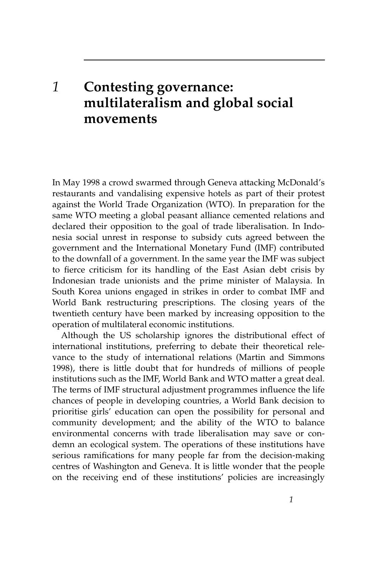## 1 Contesting governance: multilateralism and global social movements

In May 1998 a crowd swarmed through Geneva attacking McDonald's restaurants and vandalising expensive hotels as part of their protest against the World Trade Organization (WTO). In preparation for the same WTO meeting a global peasant alliance cemented relations and declared their opposition to the goal of trade liberalisation. In Indonesia social unrest in response to subsidy cuts agreed between the government and the International Monetary Fund (IMF) contributed to the downfall of a government. In the same year the IMF was subject to fierce criticism for its handling of the East Asian debt crisis by Indonesian trade unionists and the prime minister of Malaysia. In South Korea unions engaged in strikes in order to combat IMF and World Bank restructuring prescriptions. The closing years of the twentieth century have been marked by increasing opposition to the operation of multilateral economic institutions.

Although the US scholarship ignores the distributional effect of international institutions, preferring to debate their theoretical relevance to the study of international relations (Martin and Simmons 1998), there is little doubt that for hundreds of millions of people institutions such as the IMF, World Bank and WTO matter a great deal. The terms of IMF structural adjustment programmes influence the life chances of people in developing countries, a World Bank decision to prioritise girls' education can open the possibility for personal and community development; and the ability of the WTO to balance environmental concerns with trade liberalisation may save or condemn an ecological system. The operations of these institutions have serious ramifications for many people far from the decision-making centres of Washington and Geneva. It is little wonder that the people on the receiving end of these institutions' policies are increasingly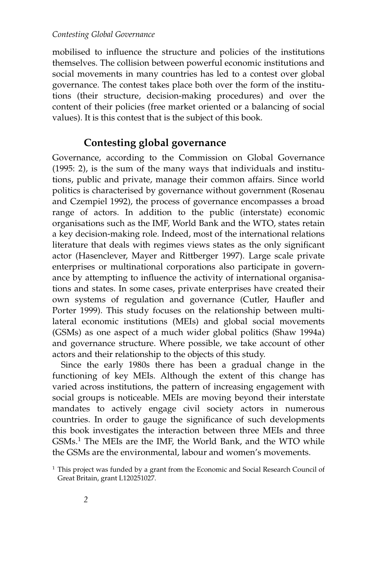mobilised to influence the structure and policies of the institutions themselves. The collision between powerful economic institutions and social movements in many countries has led to a contest over global governance. The contest takes place both over the form of the institutions (their structure, decision-making procedures) and over the content of their policies (free market oriented or a balancing of social values). It is this contest that is the subject of this book.

## Contesting global governance

Governance, according to the Commission on Global Governance (1995: 2), is the sum of the many ways that individuals and institutions, public and private, manage their common affairs. Since world politics is characterised by governance without government (Rosenau and Czempiel 1992), the process of governance encompasses a broad range of actors. In addition to the public (interstate) economic organisations such as the IMF, World Bank and the WTO, states retain a key decision-making role. Indeed, most of the international relations literature that deals with regimes views states as the only significant actor (Hasenclever, Mayer and Rittberger 1997). Large scale private enterprises or multinational corporations also participate in governance by attempting to influence the activity of international organisations and states. In some cases, private enterprises have created their own systems of regulation and governance (Cutler, Haufler and Porter 1999). This study focuses on the relationship between multilateral economic institutions (MEIs) and global social movements (GSMs) as one aspect of a much wider global politics (Shaw 1994a) and governance structure. Where possible, we take account of other actors and their relationship to the objects of this study.

Since the early 1980s there has been a gradual change in the functioning of key MEIs. Although the extent of this change has varied across institutions, the pattern of increasing engagement with social groups is noticeable. MEIs are moving beyond their interstate mandates to actively engage civil society actors in numerous countries. In order to gauge the significance of such developments this book investigates the interaction between three MEIs and three GSMs.<sup>1</sup> The MEIs are the IMF, the World Bank, and the WTO while the GSMs are the environmental, labour and women's movements.

<sup>&</sup>lt;sup>1</sup> This project was funded by a grant from the Economic and Social Research Council of Great Britain, grant L120251027.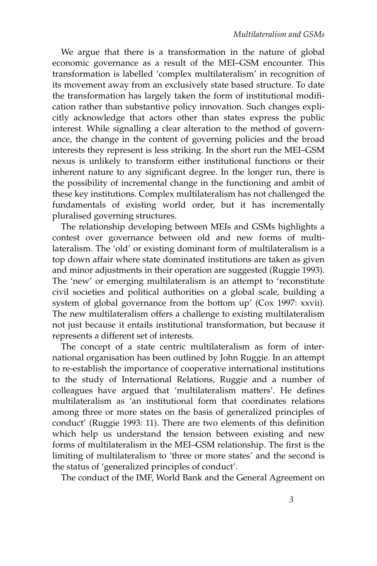We argue that there is a transformation in the nature of global economic governance as a result of the MEI-GSM encounter. This transformation is labelled `complex multilateralism' in recognition of its movement away from an exclusively state based structure. To date the transformation has largely taken the form of institutional modification rather than substantive policy innovation. Such changes explicitly acknowledge that actors other than states express the public interest. While signalling a clear alteration to the method of governance, the change in the content of governing policies and the broad interests they represent is less striking. In the short run the MEI-GSM nexus is unlikely to transform either institutional functions or their inherent nature to any significant degree. In the longer run, there is the possibility of incremental change in the functioning and ambit of these key institutions. Complex multilateralism has not challenged the fundamentals of existing world order, but it has incrementally pluralised governing structures.

The relationship developing between MEIs and GSMs highlights a contest over governance between old and new forms of multilateralism. The 'old' or existing dominant form of multilateralism is a top down affair where state dominated institutions are taken as given and minor adjustments in their operation are suggested (Ruggie 1993). The 'new' or emerging multilateralism is an attempt to 'reconstitute civil societies and political authorities on a global scale, building a system of global governance from the bottom up' (Cox 1997: xxvii). The new multilateralism offers a challenge to existing multilateralism not just because it entails institutional transformation, but because it represents a different set of interests.

The concept of a state centric multilateralism as form of international organisation has been outlined by John Ruggie. In an attempt to re-establish the importance of cooperative international institutions to the study of International Relations, Ruggie and a number of colleagues have argued that 'multilateralism matters'. He defines multilateralism as 'an institutional form that coordinates relations among three or more states on the basis of generalized principles of conduct' (Ruggie 1993: 11). There are two elements of this definition which help us understand the tension between existing and new forms of multilateralism in the MEI-GSM relationship. The first is the limiting of multilateralism to 'three or more states' and the second is the status of 'generalized principles of conduct'.

The conduct of the IMF, World Bank and the General Agreement on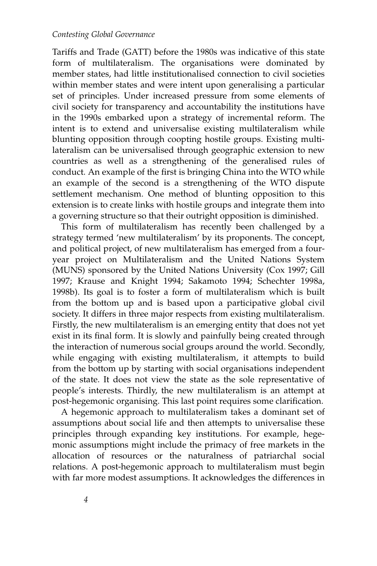#### Contesting Global Governance

Tariffs and Trade (GATT) before the 1980s was indicative of this state form of multilateralism. The organisations were dominated by member states, had little institutionalised connection to civil societies within member states and were intent upon generalising a particular set of principles. Under increased pressure from some elements of civil society for transparency and accountability the institutions have in the 1990s embarked upon a strategy of incremental reform. The intent is to extend and universalise existing multilateralism while blunting opposition through coopting hostile groups. Existing multilateralism can be universalised through geographic extension to new countries as well as a strengthening of the generalised rules of conduct. An example of the first is bringing China into the WTO while an example of the second is a strengthening of the WTO dispute settlement mechanism. One method of blunting opposition to this extension is to create links with hostile groups and integrate them into a governing structure so that their outright opposition is diminished.

This form of multilateralism has recently been challenged by a strategy termed 'new multilateralism' by its proponents. The concept, and political project, of new multilateralism has emerged from a fouryear project on Multilateralism and the United Nations System (MUNS) sponsored by the United Nations University (Cox 1997; Gill 1997; Krause and Knight 1994; Sakamoto 1994; Schechter 1998a, 1998b). Its goal is to foster a form of multilateralism which is built from the bottom up and is based upon a participative global civil society. It differs in three major respects from existing multilateralism. Firstly, the new multilateralism is an emerging entity that does not yet exist in its final form. It is slowly and painfully being created through the interaction of numerous social groups around the world. Secondly, while engaging with existing multilateralism, it attempts to build from the bottom up by starting with social organisations independent of the state. It does not view the state as the sole representative of people's interests. Thirdly, the new multilateralism is an attempt at post-hegemonic organising. This last point requires some clarification.

A hegemonic approach to multilateralism takes a dominant set of assumptions about social life and then attempts to universalise these principles through expanding key institutions. For example, hegemonic assumptions might include the primacy of free markets in the allocation of resources or the naturalness of patriarchal social relations. A post-hegemonic approach to multilateralism must begin with far more modest assumptions. It acknowledges the differences in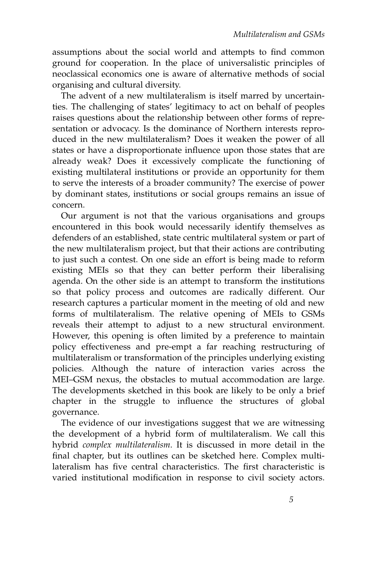assumptions about the social world and attempts to find common ground for cooperation. In the place of universalistic principles of neoclassical economics one is aware of alternative methods of social organising and cultural diversity.

The advent of a new multilateralism is itself marred by uncertainties. The challenging of states' legitimacy to act on behalf of peoples raises questions about the relationship between other forms of representation or advocacy. Is the dominance of Northern interests reproduced in the new multilateralism? Does it weaken the power of all states or have a disproportionate influence upon those states that are already weak? Does it excessively complicate the functioning of existing multilateral institutions or provide an opportunity for them to serve the interests of a broader community? The exercise of power by dominant states, institutions or social groups remains an issue of concern.

Our argument is not that the various organisations and groups encountered in this book would necessarily identify themselves as defenders of an established, state centric multilateral system or part of the new multilateralism project, but that their actions are contributing to just such a contest. On one side an effort is being made to reform existing MEIs so that they can better perform their liberalising agenda. On the other side is an attempt to transform the institutions so that policy process and outcomes are radically different. Our research captures a particular moment in the meeting of old and new forms of multilateralism. The relative opening of MEIs to GSMs reveals their attempt to adjust to a new structural environment. However, this opening is often limited by a preference to maintain policy effectiveness and pre-empt a far reaching restructuring of multilateralism or transformation of the principles underlying existing policies. Although the nature of interaction varies across the MEI-GSM nexus, the obstacles to mutual accommodation are large. The developments sketched in this book are likely to be only a brief chapter in the struggle to influence the structures of global governance.

The evidence of our investigations suggest that we are witnessing the development of a hybrid form of multilateralism. We call this hybrid complex multilateralism. It is discussed in more detail in the final chapter, but its outlines can be sketched here. Complex multilateralism has five central characteristics. The first characteristic is varied institutional modification in response to civil society actors.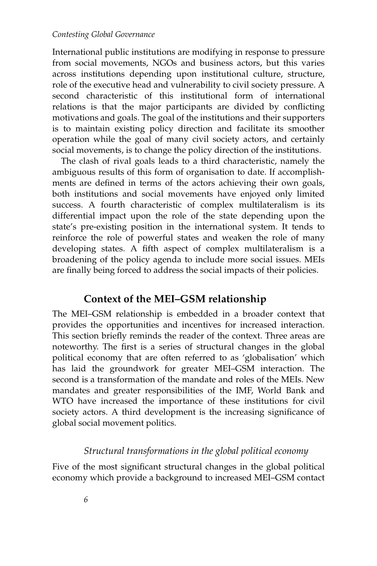International public institutions are modifying in response to pressure from social movements, NGOs and business actors, but this varies across institutions depending upon institutional culture, structure, role of the executive head and vulnerability to civil society pressure. A second characteristic of this institutional form of international relations is that the major participants are divided by conflicting motivations and goals. The goal of the institutions and their supporters is to maintain existing policy direction and facilitate its smoother operation while the goal of many civil society actors, and certainly social movements, is to change the policy direction of the institutions.

The clash of rival goals leads to a third characteristic, namely the ambiguous results of this form of organisation to date. If accomplishments are defined in terms of the actors achieving their own goals, both institutions and social movements have enjoyed only limited success. A fourth characteristic of complex multilateralism is its differential impact upon the role of the state depending upon the state's pre-existing position in the international system. It tends to reinforce the role of powerful states and weaken the role of many developing states. A fifth aspect of complex multilateralism is a broadening of the policy agenda to include more social issues. MEIs are finally being forced to address the social impacts of their policies.

## Context of the MEI-GSM relationship

The MEI-GSM relationship is embedded in a broader context that provides the opportunities and incentives for increased interaction. This section briefly reminds the reader of the context. Three areas are noteworthy. The first is a series of structural changes in the global political economy that are often referred to as 'globalisation' which has laid the groundwork for greater MEI-GSM interaction. The second is a transformation of the mandate and roles of the MEIs. New mandates and greater responsibilities of the IMF, World Bank and WTO have increased the importance of these institutions for civil society actors. A third development is the increasing significance of global social movement politics.

### Structural transformations in the global political economy

Five of the most significant structural changes in the global political economy which provide a background to increased MEI-GSM contact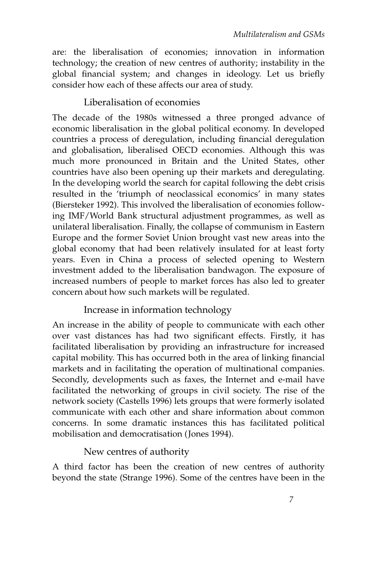are: the liberalisation of economies; innovation in information technology; the creation of new centres of authority; instability in the global financial system; and changes in ideology. Let us briefly consider how each of these affects our area of study.

#### Liberalisation of economies

The decade of the 1980s witnessed a three pronged advance of economic liberalisation in the global political economy. In developed countries a process of deregulation, including financial deregulation and globalisation, liberalised OECD economies. Although this was much more pronounced in Britain and the United States, other countries have also been opening up their markets and deregulating. In the developing world the search for capital following the debt crisis resulted in the 'triumph of neoclassical economics' in many states (Biersteker 1992). This involved the liberalisation of economies following IMF/World Bank structural adjustment programmes, as well as unilateral liberalisation. Finally, the collapse of communism in Eastern Europe and the former Soviet Union brought vast new areas into the global economy that had been relatively insulated for at least forty years. Even in China a process of selected opening to Western investment added to the liberalisation bandwagon. The exposure of increased numbers of people to market forces has also led to greater concern about how such markets will be regulated.

### Increase in information technology

An increase in the ability of people to communicate with each other over vast distances has had two significant effects. Firstly, it has facilitated liberalisation by providing an infrastructure for increased capital mobility. This has occurred both in the area of linking financial markets and in facilitating the operation of multinational companies. Secondly, developments such as faxes, the Internet and e-mail have facilitated the networking of groups in civil society. The rise of the network society (Castells 1996) lets groups that were formerly isolated communicate with each other and share information about common concerns. In some dramatic instances this has facilitated political mobilisation and democratisation ( Jones 1994).

### New centres of authority

A third factor has been the creation of new centres of authority beyond the state (Strange 1996). Some of the centres have been in the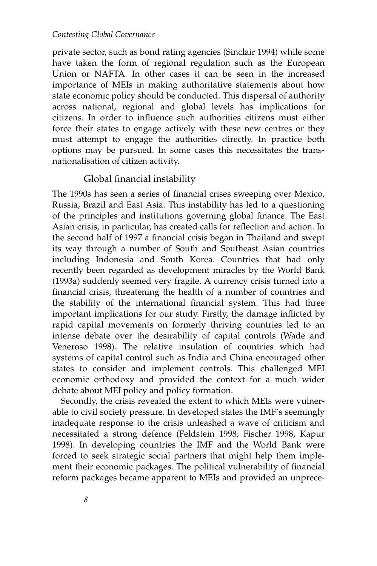private sector, such as bond rating agencies (Sinclair 1994) while some have taken the form of regional regulation such as the European Union or NAFTA. In other cases it can be seen in the increased importance of MEIs in making authoritative statements about how state economic policy should be conducted. This dispersal of authority across national, regional and global levels has implications for citizens. In order to influence such authorities citizens must either force their states to engage actively with these new centres or they must attempt to engage the authorities directly. In practice both options may be pursued. In some cases this necessitates the transnationalisation of citizen activity.

### Global financial instability

The 1990s has seen a series of financial crises sweeping over Mexico, Russia, Brazil and East Asia. This instability has led to a questioning of the principles and institutions governing global finance. The East Asian crisis, in particular, has created calls for reflection and action. In the second half of 1997 a financial crisis began in Thailand and swept its way through a number of South and Southeast Asian countries including Indonesia and South Korea. Countries that had only recently been regarded as development miracles by the World Bank (1993a) suddenly seemed very fragile. A currency crisis turned into a financial crisis, threatening the health of a number of countries and the stability of the international financial system. This had three important implications for our study. Firstly, the damage inflicted by rapid capital movements on formerly thriving countries led to an intense debate over the desirability of capital controls (Wade and Veneroso 1998). The relative insulation of countries which had systems of capital control such as India and China encouraged other states to consider and implement controls. This challenged MEI economic orthodoxy and provided the context for a much wider debate about MEI policy and policy formation.

Secondly, the crisis revealed the extent to which MEIs were vulnerable to civil society pressure. In developed states the IMF's seemingly inadequate response to the crisis unleashed a wave of criticism and necessitated a strong defence (Feldstein 1998; Fischer 1998, Kapur 1998). In developing countries the IMF and the World Bank were forced to seek strategic social partners that might help them implement their economic packages. The political vulnerability of financial reform packages became apparent to MEIs and provided an unprece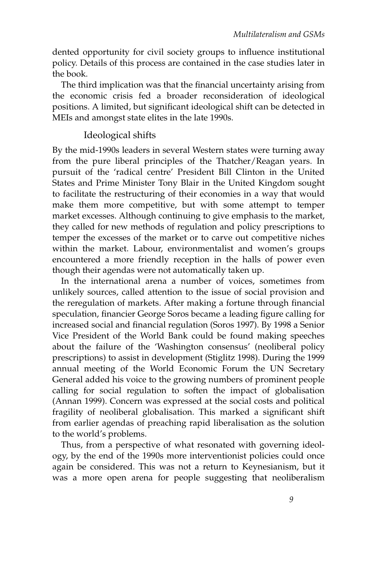dented opportunity for civil society groups to influence institutional policy. Details of this process are contained in the case studies later in the book.

The third implication was that the financial uncertainty arising from the economic crisis fed a broader reconsideration of ideological positions. A limited, but significant ideological shift can be detected in MEIs and amongst state elites in the late 1990s.

#### Ideological shifts

By the mid-1990s leaders in several Western states were turning away from the pure liberal principles of the Thatcher/Reagan years. In pursuit of the 'radical centre' President Bill Clinton in the United States and Prime Minister Tony Blair in the United Kingdom sought to facilitate the restructuring of their economies in a way that would make them more competitive, but with some attempt to temper market excesses. Although continuing to give emphasis to the market, they called for new methods of regulation and policy prescriptions to temper the excesses of the market or to carve out competitive niches within the market. Labour, environmentalist and women's groups encountered a more friendly reception in the halls of power even though their agendas were not automatically taken up.

In the international arena a number of voices, sometimes from unlikely sources, called attention to the issue of social provision and the reregulation of markets. After making a fortune through financial speculation, financier George Soros became a leading figure calling for increased social and financial regulation (Soros 1997). By 1998 a Senior Vice President of the World Bank could be found making speeches about the failure of the 'Washington consensus' (neoliberal policy prescriptions) to assist in development (Stiglitz 1998). During the 1999 annual meeting of the World Economic Forum the UN Secretary General added his voice to the growing numbers of prominent people calling for social regulation to soften the impact of globalisation (Annan 1999). Concern was expressed at the social costs and political fragility of neoliberal globalisation. This marked a significant shift from earlier agendas of preaching rapid liberalisation as the solution to the world's problems.

Thus, from a perspective of what resonated with governing ideology, by the end of the 1990s more interventionist policies could once again be considered. This was not a return to Keynesianism, but it was a more open arena for people suggesting that neoliberalism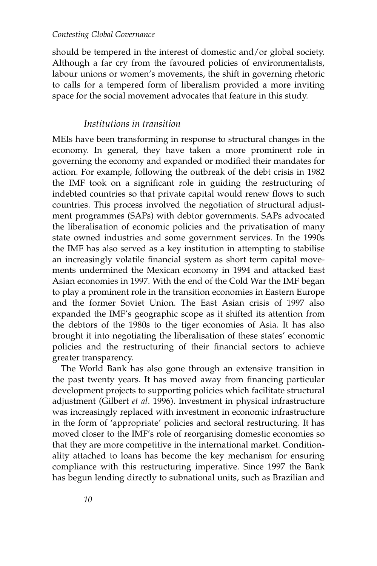#### Contesting Global Governance

should be tempered in the interest of domestic and/or global society. Although a far cry from the favoured policies of environmentalists, labour unions or women's movements, the shift in governing rhetoric to calls for a tempered form of liberalism provided a more inviting space for the social movement advocates that feature in this study.

#### Institutions in transition

MEIs have been transforming in response to structural changes in the economy. In general, they have taken a more prominent role in governing the economy and expanded or modified their mandates for action. For example, following the outbreak of the debt crisis in 1982 the IMF took on a significant role in guiding the restructuring of indebted countries so that private capital would renew flows to such countries. This process involved the negotiation of structural adjustment programmes (SAPs) with debtor governments. SAPs advocated the liberalisation of economic policies and the privatisation of many state owned industries and some government services. In the 1990s the IMF has also served as a key institution in attempting to stabilise an increasingly volatile financial system as short term capital movements undermined the Mexican economy in 1994 and attacked East Asian economies in 1997. With the end of the Cold War the IMF began to play a prominent role in the transition economies in Eastern Europe and the former Soviet Union. The East Asian crisis of 1997 also expanded the IMF's geographic scope as it shifted its attention from the debtors of the 1980s to the tiger economies of Asia. It has also brought it into negotiating the liberalisation of these states' economic policies and the restructuring of their financial sectors to achieve greater transparency.

The World Bank has also gone through an extensive transition in the past twenty years. It has moved away from financing particular development projects to supporting policies which facilitate structural adjustment (Gilbert et al. 1996). Investment in physical infrastructure was increasingly replaced with investment in economic infrastructure in the form of 'appropriate' policies and sectoral restructuring. It has moved closer to the IMF's role of reorganising domestic economies so that they are more competitive in the international market. Conditionality attached to loans has become the key mechanism for ensuring compliance with this restructuring imperative. Since 1997 the Bank has begun lending directly to subnational units, such as Brazilian and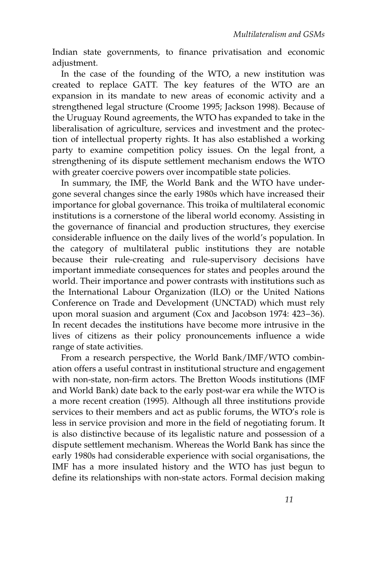Indian state governments, to finance privatisation and economic adjustment.

In the case of the founding of the WTO, a new institution was created to replace GATT. The key features of the WTO are an expansion in its mandate to new areas of economic activity and a strengthened legal structure (Croome 1995; Jackson 1998). Because of the Uruguay Round agreements, the WTO has expanded to take in the liberalisation of agriculture, services and investment and the protection of intellectual property rights. It has also established a working party to examine competition policy issues. On the legal front, a strengthening of its dispute settlement mechanism endows the WTO with greater coercive powers over incompatible state policies.

In summary, the IMF, the World Bank and the WTO have undergone several changes since the early 1980s which have increased their importance for global governance. This troika of multilateral economic institutions is a cornerstone of the liberal world economy. Assisting in the governance of financial and production structures, they exercise considerable influence on the daily lives of the world's population. In the category of multilateral public institutions they are notable because their rule-creating and rule-supervisory decisions have important immediate consequences for states and peoples around the world. Their importance and power contrasts with institutions such as the International Labour Organization (ILO) or the United Nations Conference on Trade and Development (UNCTAD) which must rely upon moral suasion and argument (Cox and Jacobson 1974: 423-36). In recent decades the institutions have become more intrusive in the lives of citizens as their policy pronouncements influence a wide range of state activities.

From a research perspective, the World Bank/IMF/WTO combination offers a useful contrast in institutional structure and engagement with non-state, non-firm actors. The Bretton Woods institutions (IMF and World Bank) date back to the early post-war era while the WTO is a more recent creation (1995). Although all three institutions provide services to their members and act as public forums, the WTO's role is less in service provision and more in the field of negotiating forum. It is also distinctive because of its legalistic nature and possession of a dispute settlement mechanism. Whereas the World Bank has since the early 1980s had considerable experience with social organisations, the IMF has a more insulated history and the WTO has just begun to define its relationships with non-state actors. Formal decision making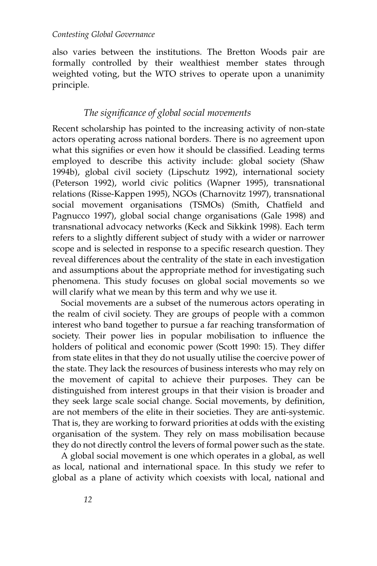#### Contesting Global Governance

also varies between the institutions. The Bretton Woods pair are formally controlled by their wealthiest member states through weighted voting, but the WTO strives to operate upon a unanimity principle.

#### The significance of global social movements

Recent scholarship has pointed to the increasing activity of non-state actors operating across national borders. There is no agreement upon what this signifies or even how it should be classified. Leading terms employed to describe this activity include: global society (Shaw 1994b), global civil society (Lipschutz 1992), international society (Peterson 1992), world civic politics (Wapner 1995), transnational relations (Risse-Kappen 1995), NGOs (Charnovitz 1997), transnational social movement organisations (TSMOs) (Smith, Chatfield and Pagnucco 1997), global social change organisations (Gale 1998) and transnational advocacy networks (Keck and Sikkink 1998). Each term refers to a slightly different subject of study with a wider or narrower scope and is selected in response to a specific research question. They reveal differences about the centrality of the state in each investigation and assumptions about the appropriate method for investigating such phenomena. This study focuses on global social movements so we will clarify what we mean by this term and why we use it.

Social movements are a subset of the numerous actors operating in the realm of civil society. They are groups of people with a common interest who band together to pursue a far reaching transformation of society. Their power lies in popular mobilisation to influence the holders of political and economic power (Scott 1990: 15). They differ from state elites in that they do not usually utilise the coercive power of the state. They lack the resources of business interests who may rely on the movement of capital to achieve their purposes. They can be distinguished from interest groups in that their vision is broader and they seek large scale social change. Social movements, by definition, are not members of the elite in their societies. They are anti-systemic. That is, they are working to forward priorities at odds with the existing organisation of the system. They rely on mass mobilisation because they do not directly control the levers of formal power such as the state.

A global social movement is one which operates in a global, as well as local, national and international space. In this study we refer to global as a plane of activity which coexists with local, national and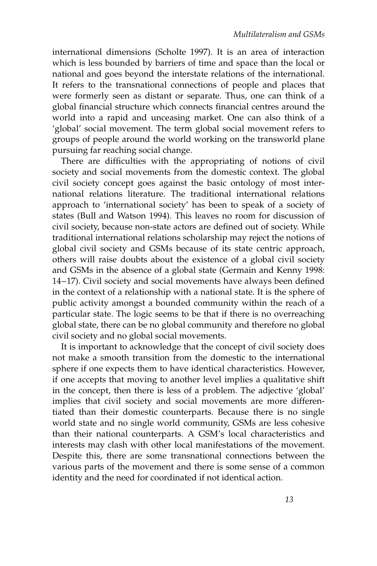international dimensions (Scholte 1997). It is an area of interaction which is less bounded by barriers of time and space than the local or national and goes beyond the interstate relations of the international. It refers to the transnational connections of people and places that were formerly seen as distant or separate. Thus, one can think of a global financial structure which connects financial centres around the world into a rapid and unceasing market. One can also think of a 'global' social movement. The term global social movement refers to groups of people around the world working on the transworld plane pursuing far reaching social change.

There are difficulties with the appropriating of notions of civil society and social movements from the domestic context. The global civil society concept goes against the basic ontology of most international relations literature. The traditional international relations approach to 'international society' has been to speak of a society of states (Bull and Watson 1994). This leaves no room for discussion of civil society, because non-state actors are defined out of society. While traditional international relations scholarship may reject the notions of global civil society and GSMs because of its state centric approach, others will raise doubts about the existence of a global civil society and GSMs in the absence of a global state (Germain and Kenny 1998: 14-17). Civil society and social movements have always been defined in the context of a relationship with a national state. It is the sphere of public activity amongst a bounded community within the reach of a particular state. The logic seems to be that if there is no overreaching global state, there can be no global community and therefore no global civil society and no global social movements.

It is important to acknowledge that the concept of civil society does not make a smooth transition from the domestic to the international sphere if one expects them to have identical characteristics. However, if one accepts that moving to another level implies a qualitative shift in the concept, then there is less of a problem. The adjective 'global' implies that civil society and social movements are more differentiated than their domestic counterparts. Because there is no single world state and no single world community, GSMs are less cohesive than their national counterparts. A GSM's local characteristics and interests may clash with other local manifestations of the movement. Despite this, there are some transnational connections between the various parts of the movement and there is some sense of a common identity and the need for coordinated if not identical action.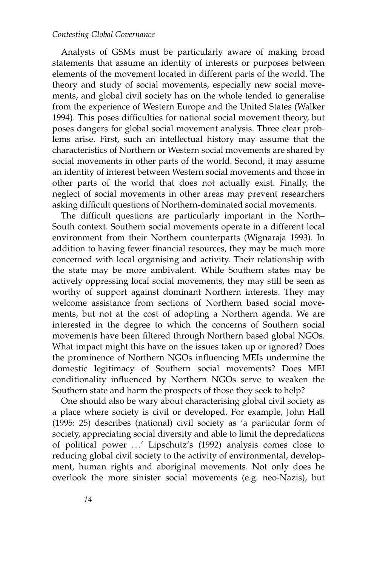#### Contesting Global Governance

Analysts of GSMs must be particularly aware of making broad statements that assume an identity of interests or purposes between elements of the movement located in different parts of the world. The theory and study of social movements, especially new social movements, and global civil society has on the whole tended to generalise from the experience of Western Europe and the United States (Walker 1994). This poses difficulties for national social movement theory, but poses dangers for global social movement analysis. Three clear problems arise. First, such an intellectual history may assume that the characteristics of Northern or Western social movements are shared by social movements in other parts of the world. Second, it may assume an identity of interest between Western social movements and those in other parts of the world that does not actually exist. Finally, the neglect of social movements in other areas may prevent researchers asking difficult questions of Northern-dominated social movements.

The difficult questions are particularly important in the North-South context. Southern social movements operate in a different local environment from their Northern counterparts (Wignaraja 1993). In addition to having fewer financial resources, they may be much more concerned with local organising and activity. Their relationship with the state may be more ambivalent. While Southern states may be actively oppressing local social movements, they may still be seen as worthy of support against dominant Northern interests. They may welcome assistance from sections of Northern based social movements, but not at the cost of adopting a Northern agenda. We are interested in the degree to which the concerns of Southern social movements have been filtered through Northern based global NGOs. What impact might this have on the issues taken up or ignored? Does the prominence of Northern NGOs influencing MEIs undermine the domestic legitimacy of Southern social movements? Does MEI conditionality influenced by Northern NGOs serve to weaken the Southern state and harm the prospects of those they seek to help?

One should also be wary about characterising global civil society as a place where society is civil or developed. For example, John Hall (1995: 25) describes (national) civil society as `a particular form of society, appreciating social diversity and able to limit the depredations of political power ...' Lipschutz's (1992) analysis comes close to reducing global civil society to the activity of environmental, development, human rights and aboriginal movements. Not only does he overlook the more sinister social movements (e.g. neo-Nazis), but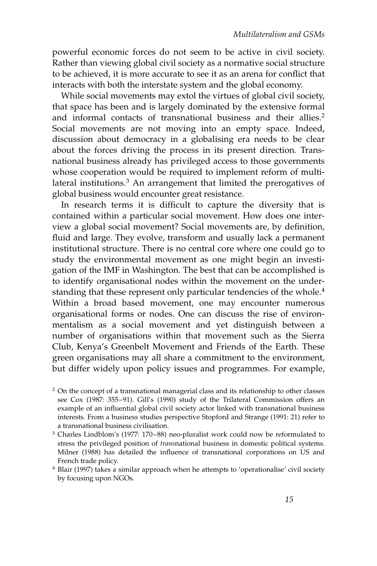powerful economic forces do not seem to be active in civil society. Rather than viewing global civil society as a normative social structure to be achieved, it is more accurate to see it as an arena for conflict that interacts with both the interstate system and the global economy.

While social movements may extol the virtues of global civil society, that space has been and is largely dominated by the extensive formal and informal contacts of transnational business and their allies.<sup>2</sup> Social movements are not moving into an empty space. Indeed, discussion about democracy in a globalising era needs to be clear about the forces driving the process in its present direction. Transnational business already has privileged access to those governments whose cooperation would be required to implement reform of multilateral institutions.<sup>3</sup> An arrangement that limited the prerogatives of global business would encounter great resistance.

In research terms it is difficult to capture the diversity that is contained within a particular social movement. How does one interview a global social movement? Social movements are, by definition, fluid and large. They evolve, transform and usually lack a permanent institutional structure. There is no central core where one could go to study the environmental movement as one might begin an investigation of the IMF in Washington. The best that can be accomplished is to identify organisational nodes within the movement on the understanding that these represent only particular tendencies of the whole.<sup>4</sup> Within a broad based movement, one may encounter numerous organisational forms or nodes. One can discuss the rise of environmentalism as a social movement and yet distinguish between a number of organisations within that movement such as the Sierra Club, Kenya's Greenbelt Movement and Friends of the Earth. These green organisations may all share a commitment to the environment, but differ widely upon policy issues and programmes. For example,

<sup>2</sup> On the concept of a transnational managerial class and its relationship to other classes see Cox (1987: 355-91). Gill's (1990) study of the Trilateral Commission offers an example of an influential global civil society actor linked with transnational business interests. From a business studies perspective Stopford and Strange (1991: 21) refer to a transnational business civilisation.

<sup>&</sup>lt;sup>3</sup> Charles Lindblom's (1977: 170-88) neo-pluralist work could now be reformulated to stress the privileged position of transnational business in domestic political systems. Milner (1988) has detailed the influence of transnational corporations on US and French trade policy.

<sup>&</sup>lt;sup>4</sup> Blair (1997) takes a similar approach when he attempts to 'operationalise' civil society by focusing upon NGOs.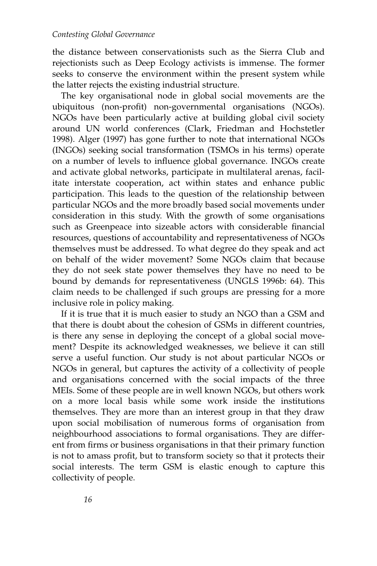the distance between conservationists such as the Sierra Club and rejectionists such as Deep Ecology activists is immense. The former seeks to conserve the environment within the present system while the latter rejects the existing industrial structure.

The key organisational node in global social movements are the ubiquitous (non-profit) non-governmental organisations (NGOs). NGOs have been particularly active at building global civil society around UN world conferences (Clark, Friedman and Hochstetler 1998). Alger (1997) has gone further to note that international NGOs (INGOs) seeking social transformation (TSMOs in his terms) operate on a number of levels to influence global governance. INGOs create and activate global networks, participate in multilateral arenas, facilitate interstate cooperation, act within states and enhance public participation. This leads to the question of the relationship between particular NGOs and the more broadly based social movements under consideration in this study. With the growth of some organisations such as Greenpeace into sizeable actors with considerable financial resources, questions of accountability and representativeness of NGOs themselves must be addressed. To what degree do they speak and act on behalf of the wider movement? Some NGOs claim that because they do not seek state power themselves they have no need to be bound by demands for representativeness (UNGLS 1996b: 64). This claim needs to be challenged if such groups are pressing for a more inclusive role in policy making.

If it is true that it is much easier to study an NGO than a GSM and that there is doubt about the cohesion of GSMs in different countries, is there any sense in deploying the concept of a global social movement? Despite its acknowledged weaknesses, we believe it can still serve a useful function. Our study is not about particular NGOs or NGOs in general, but captures the activity of a collectivity of people and organisations concerned with the social impacts of the three MEIs. Some of these people are in well known NGOs, but others work on a more local basis while some work inside the institutions themselves. They are more than an interest group in that they draw upon social mobilisation of numerous forms of organisation from neighbourhood associations to formal organisations. They are different from firms or business organisations in that their primary function is not to amass profit, but to transform society so that it protects their social interests. The term GSM is elastic enough to capture this collectivity of people.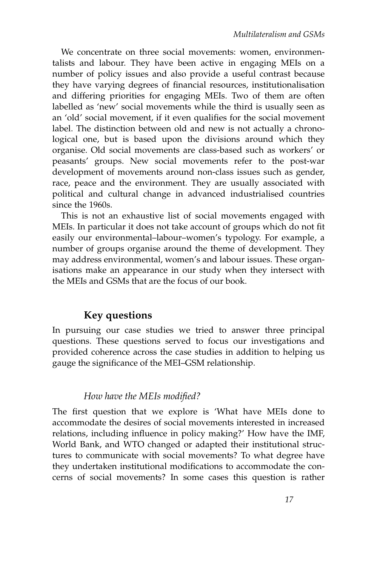We concentrate on three social movements: women, environmentalists and labour. They have been active in engaging MEIs on a number of policy issues and also provide a useful contrast because they have varying degrees of financial resources, institutionalisation and differing priorities for engaging MEIs. Two of them are often labelled as 'new' social movements while the third is usually seen as an 'old' social movement, if it even qualifies for the social movement label. The distinction between old and new is not actually a chronological one, but is based upon the divisions around which they organise. Old social movements are class-based such as workers' or peasants' groups. New social movements refer to the post-war development of movements around non-class issues such as gender, race, peace and the environment. They are usually associated with political and cultural change in advanced industrialised countries since the 1960s.

This is not an exhaustive list of social movements engaged with MEIs. In particular it does not take account of groups which do not fit easily our environmental-labour-women's typology. For example, a number of groups organise around the theme of development. They may address environmental, women's and labour issues. These organisations make an appearance in our study when they intersect with the MEIs and GSMs that are the focus of our book.

#### Key questions

In pursuing our case studies we tried to answer three principal questions. These questions served to focus our investigations and provided coherence across the case studies in addition to helping us gauge the significance of the MEI-GSM relationship.

#### How have the MEIs modified?

The first question that we explore is 'What have MEIs done to accommodate the desires of social movements interested in increased relations, including influence in policy making?' How have the IMF, World Bank, and WTO changed or adapted their institutional structures to communicate with social movements? To what degree have they undertaken institutional modifications to accommodate the concerns of social movements? In some cases this question is rather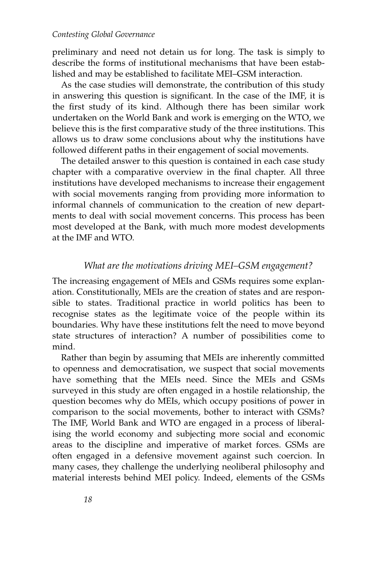preliminary and need not detain us for long. The task is simply to describe the forms of institutional mechanisms that have been established and may be established to facilitate MEI-GSM interaction.

As the case studies will demonstrate, the contribution of this study in answering this question is significant. In the case of the IMF, it is the first study of its kind. Although there has been similar work undertaken on the World Bank and work is emerging on the WTO, we believe this is the first comparative study of the three institutions. This allows us to draw some conclusions about why the institutions have followed different paths in their engagement of social movements.

The detailed answer to this question is contained in each case study chapter with a comparative overview in the final chapter. All three institutions have developed mechanisms to increase their engagement with social movements ranging from providing more information to informal channels of communication to the creation of new departments to deal with social movement concerns. This process has been most developed at the Bank, with much more modest developments at the IMF and WTO.

#### What are the motivations driving MEI–GSM engagement?

The increasing engagement of MEIs and GSMs requires some explanation. Constitutionally, MEIs are the creation of states and are responsible to states. Traditional practice in world politics has been to recognise states as the legitimate voice of the people within its boundaries. Why have these institutions felt the need to move beyond state structures of interaction? A number of possibilities come to mind.

Rather than begin by assuming that MEIs are inherently committed to openness and democratisation, we suspect that social movements have something that the MEIs need. Since the MEIs and GSMs surveyed in this study are often engaged in a hostile relationship, the question becomes why do MEIs, which occupy positions of power in comparison to the social movements, bother to interact with GSMs? The IMF, World Bank and WTO are engaged in a process of liberalising the world economy and subjecting more social and economic areas to the discipline and imperative of market forces. GSMs are often engaged in a defensive movement against such coercion. In many cases, they challenge the underlying neoliberal philosophy and material interests behind MEI policy. Indeed, elements of the GSMs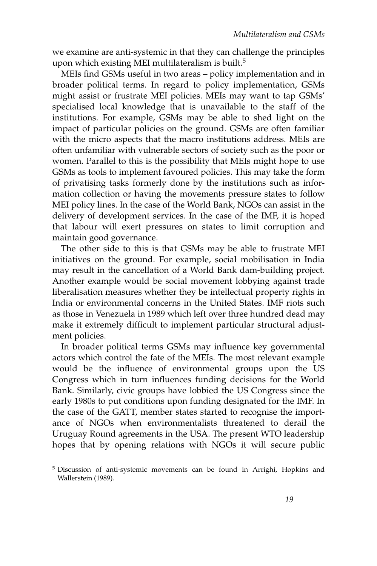we examine are anti-systemic in that they can challenge the principles upon which existing MEI multilateralism is built.<sup>5</sup>

MEIs find GSMs useful in two areas - policy implementation and in broader political terms. In regard to policy implementation, GSMs might assist or frustrate MEI policies. MEIs may want to tap GSMs' specialised local knowledge that is unavailable to the staff of the institutions. For example, GSMs may be able to shed light on the impact of particular policies on the ground. GSMs are often familiar with the micro aspects that the macro institutions address. MEIs are often unfamiliar with vulnerable sectors of society such as the poor or women. Parallel to this is the possibility that MEIs might hope to use GSMs as tools to implement favoured policies. This may take the form of privatising tasks formerly done by the institutions such as information collection or having the movements pressure states to follow MEI policy lines. In the case of the World Bank, NGOs can assist in the delivery of development services. In the case of the IMF, it is hoped that labour will exert pressures on states to limit corruption and maintain good governance.

The other side to this is that GSMs may be able to frustrate MEI initiatives on the ground. For example, social mobilisation in India may result in the cancellation of a World Bank dam-building project. Another example would be social movement lobbying against trade liberalisation measures whether they be intellectual property rights in India or environmental concerns in the United States. IMF riots such as those in Venezuela in 1989 which left over three hundred dead may make it extremely difficult to implement particular structural adjustment policies.

In broader political terms GSMs may influence key governmental actors which control the fate of the MEIs. The most relevant example would be the influence of environmental groups upon the US Congress which in turn influences funding decisions for the World Bank. Similarly, civic groups have lobbied the US Congress since the early 1980s to put conditions upon funding designated for the IMF. In the case of the GATT, member states started to recognise the importance of NGOs when environmentalists threatened to derail the Uruguay Round agreements in the USA. The present WTO leadership hopes that by opening relations with NGOs it will secure public

<sup>5</sup> Discussion of anti-systemic movements can be found in Arrighi, Hopkins and Wallerstein (1989).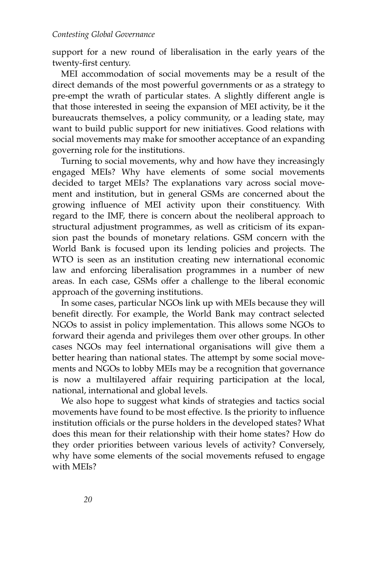support for a new round of liberalisation in the early years of the twenty-first century.

MEI accommodation of social movements may be a result of the direct demands of the most powerful governments or as a strategy to pre-empt the wrath of particular states. A slightly different angle is that those interested in seeing the expansion of MEI activity, be it the bureaucrats themselves, a policy community, or a leading state, may want to build public support for new initiatives. Good relations with social movements may make for smoother acceptance of an expanding governing role for the institutions.

Turning to social movements, why and how have they increasingly engaged MEIs? Why have elements of some social movements decided to target MEIs? The explanations vary across social movement and institution, but in general GSMs are concerned about the growing influence of MEI activity upon their constituency. With regard to the IMF, there is concern about the neoliberal approach to structural adjustment programmes, as well as criticism of its expansion past the bounds of monetary relations. GSM concern with the World Bank is focused upon its lending policies and projects. The WTO is seen as an institution creating new international economic law and enforcing liberalisation programmes in a number of new areas. In each case, GSMs offer a challenge to the liberal economic approach of the governing institutions.

In some cases, particular NGOs link up with MEIs because they will benefit directly. For example, the World Bank may contract selected NGOs to assist in policy implementation. This allows some NGOs to forward their agenda and privileges them over other groups. In other cases NGOs may feel international organisations will give them a better hearing than national states. The attempt by some social movements and NGOs to lobby MEIs may be a recognition that governance is now a multilayered affair requiring participation at the local, national, international and global levels.

We also hope to suggest what kinds of strategies and tactics social movements have found to be most effective. Is the priority to influence institution officials or the purse holders in the developed states? What does this mean for their relationship with their home states? How do they order priorities between various levels of activity? Conversely, why have some elements of the social movements refused to engage with MEIs?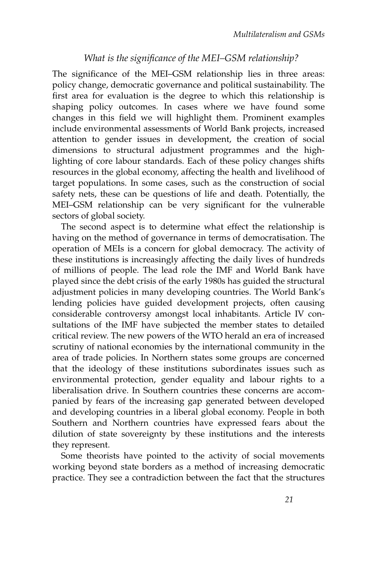#### What is the significance of the MEI-GSM relationship?

The significance of the MEI-GSM relationship lies in three areas: policy change, democratic governance and political sustainability. The first area for evaluation is the degree to which this relationship is shaping policy outcomes. In cases where we have found some changes in this field we will highlight them. Prominent examples include environmental assessments of World Bank projects, increased attention to gender issues in development, the creation of social dimensions to structural adjustment programmes and the highlighting of core labour standards. Each of these policy changes shifts resources in the global economy, affecting the health and livelihood of target populations. In some cases, such as the construction of social safety nets, these can be questions of life and death. Potentially, the MEI-GSM relationship can be very significant for the vulnerable sectors of global society.

The second aspect is to determine what effect the relationship is having on the method of governance in terms of democratisation. The operation of MEIs is a concern for global democracy. The activity of these institutions is increasingly affecting the daily lives of hundreds of millions of people. The lead role the IMF and World Bank have played since the debt crisis of the early 1980s has guided the structural adjustment policies in many developing countries. The World Bank's lending policies have guided development projects, often causing considerable controversy amongst local inhabitants. Article IV consultations of the IMF have subjected the member states to detailed critical review. The new powers of the WTO herald an era of increased scrutiny of national economies by the international community in the area of trade policies. In Northern states some groups are concerned that the ideology of these institutions subordinates issues such as environmental protection, gender equality and labour rights to a liberalisation drive. In Southern countries these concerns are accompanied by fears of the increasing gap generated between developed and developing countries in a liberal global economy. People in both Southern and Northern countries have expressed fears about the dilution of state sovereignty by these institutions and the interests they represent.

Some theorists have pointed to the activity of social movements working beyond state borders as a method of increasing democratic practice. They see a contradiction between the fact that the structures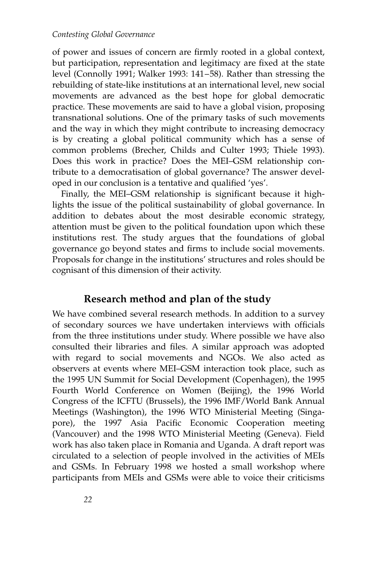of power and issues of concern are firmly rooted in a global context, but participation, representation and legitimacy are fixed at the state level (Connolly 1991; Walker 1993: 141–58). Rather than stressing the rebuilding of state-like institutions at an international level, new social movements are advanced as the best hope for global democratic practice. These movements are said to have a global vision, proposing transnational solutions. One of the primary tasks of such movements and the way in which they might contribute to increasing democracy is by creating a global political community which has a sense of common problems (Brecher, Childs and Culter 1993; Thiele 1993). Does this work in practice? Does the MEI-GSM relationship contribute to a democratisation of global governance? The answer developed in our conclusion is a tentative and qualified 'yes'.

Finally, the MEI-GSM relationship is significant because it highlights the issue of the political sustainability of global governance. In addition to debates about the most desirable economic strategy, attention must be given to the political foundation upon which these institutions rest. The study argues that the foundations of global governance go beyond states and firms to include social movements. Proposals for change in the institutions' structures and roles should be cognisant of this dimension of their activity.

## Research method and plan of the study

We have combined several research methods. In addition to a survey of secondary sources we have undertaken interviews with officials from the three institutions under study. Where possible we have also consulted their libraries and files. A similar approach was adopted with regard to social movements and NGOs. We also acted as observers at events where MEI-GSM interaction took place, such as the 1995 UN Summit for Social Development (Copenhagen), the 1995 Fourth World Conference on Women (Beijing), the 1996 World Congress of the ICFTU (Brussels), the 1996 IMF/World Bank Annual Meetings (Washington), the 1996 WTO Ministerial Meeting (Singapore), the 1997 Asia Pacific Economic Cooperation meeting (Vancouver) and the 1998 WTO Ministerial Meeting (Geneva). Field work has also taken place in Romania and Uganda. A draft report was circulated to a selection of people involved in the activities of MEIs and GSMs. In February 1998 we hosted a small workshop where participants from MEIs and GSMs were able to voice their criticisms